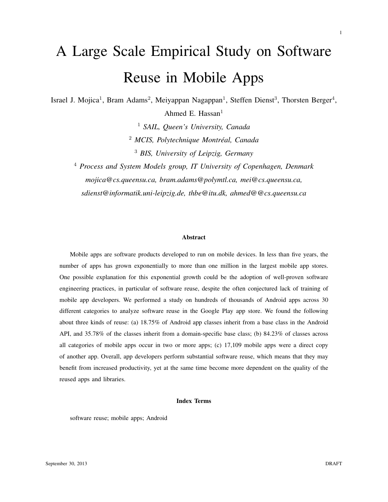# A Large Scale Empirical Study on Software Reuse in Mobile Apps

Israel J. Mojica<sup>1</sup>, Bram Adams<sup>2</sup>, Meiyappan Nagappan<sup>1</sup>, Steffen Dienst<sup>3</sup>, Thorsten Berger<sup>4</sup>, Ahmed E. Hassan $<sup>1</sup>$ </sup>

> <sup>1</sup> *SAIL, Queen's University, Canada* <sup>2</sup> *MCIS, Polytechnique Montreal, Canada ´* <sup>3</sup> *BIS, University of Leipzig, Germany*

<sup>4</sup> *Process and System Models group, IT University of Copenhagen, Denmark mojica@cs.queensu.ca, bram.adams@polymtl.ca, mei@cs.queensu.ca, sdienst@informatik.uni-leipzig.de, thbe@itu.dk, ahmed@@cs.queensu.ca*

#### Abstract

Mobile apps are software products developed to run on mobile devices. In less than five years, the number of apps has grown exponentially to more than one million in the largest mobile app stores. One possible explanation for this exponential growth could be the adoption of well-proven software engineering practices, in particular of software reuse, despite the often conjectured lack of training of mobile app developers. We performed a study on hundreds of thousands of Android apps across 30 different categories to analyze software reuse in the Google Play app store. We found the following about three kinds of reuse: (a) 18.75% of Android app classes inherit from a base class in the Android API, and 35.78% of the classes inherit from a domain-specific base class; (b) 84.23% of classes across all categories of mobile apps occur in two or more apps; (c) 17,109 mobile apps were a direct copy of another app. Overall, app developers perform substantial software reuse, which means that they may benefit from increased productivity, yet at the same time become more dependent on the quality of the reused apps and libraries.

# Index Terms

software reuse; mobile apps; Android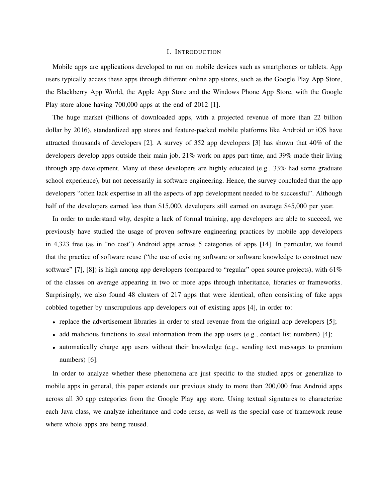# I. INTRODUCTION

Mobile apps are applications developed to run on mobile devices such as smartphones or tablets. App users typically access these apps through different online app stores, such as the Google Play App Store, the Blackberry App World, the Apple App Store and the Windows Phone App Store, with the Google Play store alone having 700,000 apps at the end of 2012 [1].

The huge market (billions of downloaded apps, with a projected revenue of more than 22 billion dollar by 2016), standardized app stores and feature-packed mobile platforms like Android or iOS have attracted thousands of developers [2]. A survey of 352 app developers [3] has shown that 40% of the developers develop apps outside their main job, 21% work on apps part-time, and 39% made their living through app development. Many of these developers are highly educated (e.g., 33% had some graduate school experience), but not necessarily in software engineering. Hence, the survey concluded that the app developers "often lack expertise in all the aspects of app development needed to be successful". Although half of the developers earned less than \$15,000, developers still earned on average \$45,000 per year.

In order to understand why, despite a lack of formal training, app developers are able to succeed, we previously have studied the usage of proven software engineering practices by mobile app developers in 4,323 free (as in "no cost") Android apps across 5 categories of apps [14]. In particular, we found that the practice of software reuse ("the use of existing software or software knowledge to construct new software" [7], [8]) is high among app developers (compared to "regular" open source projects), with  $61\%$ of the classes on average appearing in two or more apps through inheritance, libraries or frameworks. Surprisingly, we also found 48 clusters of 217 apps that were identical, often consisting of fake apps cobbled together by unscrupulous app developers out of existing apps [4], in order to:

- replace the advertisement libraries in order to steal revenue from the original app developers [5];
- add malicious functions to steal information from the app users (e.g., contact list numbers) [4];
- automatically charge app users without their knowledge (e.g., sending text messages to premium numbers) [6].

In order to analyze whether these phenomena are just specific to the studied apps or generalize to mobile apps in general, this paper extends our previous study to more than 200,000 free Android apps across all 30 app categories from the Google Play app store. Using textual signatures to characterize each Java class, we analyze inheritance and code reuse, as well as the special case of framework reuse where whole apps are being reused.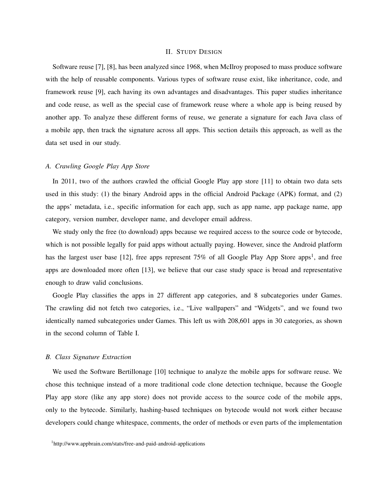# II. STUDY DESIGN

Software reuse [7], [8], has been analyzed since 1968, when McIlroy proposed to mass produce software with the help of reusable components. Various types of software reuse exist, like inheritance, code, and framework reuse [9], each having its own advantages and disadvantages. This paper studies inheritance and code reuse, as well as the special case of framework reuse where a whole app is being reused by another app. To analyze these different forms of reuse, we generate a signature for each Java class of a mobile app, then track the signature across all apps. This section details this approach, as well as the data set used in our study.

# *A. Crawling Google Play App Store*

In 2011, two of the authors crawled the official Google Play app store [11] to obtain two data sets used in this study: (1) the binary Android apps in the official Android Package (APK) format, and (2) the apps' metadata, i.e., specific information for each app, such as app name, app package name, app category, version number, developer name, and developer email address.

We study only the free (to download) apps because we required access to the source code or bytecode, which is not possible legally for paid apps without actually paying. However, since the Android platform has the largest user base [12], free apps represent  $75\%$  of all Google Play App Store apps<sup>1</sup>, and free apps are downloaded more often [13], we believe that our case study space is broad and representative enough to draw valid conclusions.

Google Play classifies the apps in 27 different app categories, and 8 subcategories under Games. The crawling did not fetch two categories, i.e., "Live wallpapers" and "Widgets", and we found two identically named subcategories under Games. This left us with 208,601 apps in 30 categories, as shown in the second column of Table I.

# *B. Class Signature Extraction*

We used the Software Bertillonage [10] technique to analyze the mobile apps for software reuse. We chose this technique instead of a more traditional code clone detection technique, because the Google Play app store (like any app store) does not provide access to the source code of the mobile apps, only to the bytecode. Similarly, hashing-based techniques on bytecode would not work either because developers could change whitespace, comments, the order of methods or even parts of the implementation

<sup>1</sup> http://www.appbrain.com/stats/free-and-paid-android-applications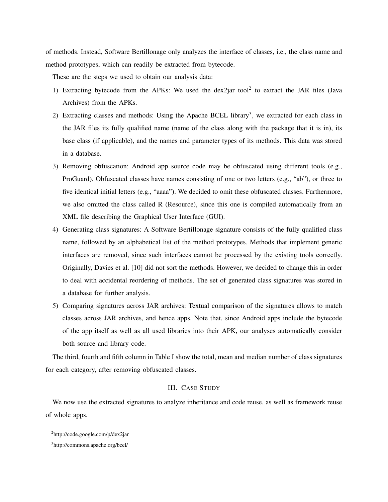of methods. Instead, Software Bertillonage only analyzes the interface of classes, i.e., the class name and method prototypes, which can readily be extracted from bytecode.

These are the steps we used to obtain our analysis data:

- 1) Extracting bytecode from the APKs: We used the dex2jar tool<sup>2</sup> to extract the JAR files (Java Archives) from the APKs.
- 2) Extracting classes and methods: Using the Apache BCEL library<sup>3</sup>, we extracted for each class in the JAR files its fully qualified name (name of the class along with the package that it is in), its base class (if applicable), and the names and parameter types of its methods. This data was stored in a database.
- 3) Removing obfuscation: Android app source code may be obfuscated using different tools (e.g., ProGuard). Obfuscated classes have names consisting of one or two letters (e.g., "ab"), or three to five identical initial letters (e.g., "aaaa"). We decided to omit these obfuscated classes. Furthermore, we also omitted the class called R (Resource), since this one is compiled automatically from an XML file describing the Graphical User Interface (GUI).
- 4) Generating class signatures: A Software Bertillonage signature consists of the fully qualified class name, followed by an alphabetical list of the method prototypes. Methods that implement generic interfaces are removed, since such interfaces cannot be processed by the existing tools correctly. Originally, Davies et al. [10] did not sort the methods. However, we decided to change this in order to deal with accidental reordering of methods. The set of generated class signatures was stored in a database for further analysis.
- 5) Comparing signatures across JAR archives: Textual comparison of the signatures allows to match classes across JAR archives, and hence apps. Note that, since Android apps include the bytecode of the app itself as well as all used libraries into their APK, our analyses automatically consider both source and library code.

The third, fourth and fifth column in Table I show the total, mean and median number of class signatures for each category, after removing obfuscated classes.

# III. CASE STUDY

We now use the extracted signatures to analyze inheritance and code reuse, as well as framework reuse of whole apps.

<sup>2</sup> http://code.google.com/p/dex2jar

<sup>3</sup> http://commons.apache.org/bcel/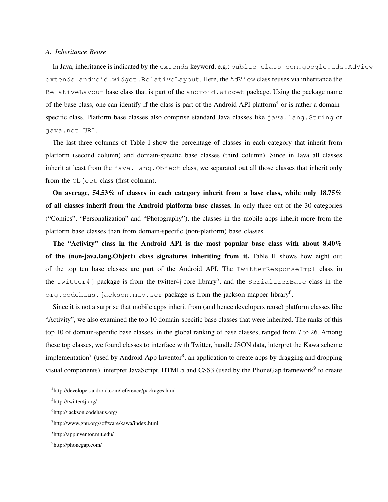# *A. Inheritance Reuse*

In Java, inheritance is indicated by the extends keyword, e.g.: public class com.google.ads.AdView extends android.widget.RelativeLayout. Here, the AdView class reuses via inheritance the RelativeLayout base class that is part of the android.widget package. Using the package name of the base class, one can identify if the class is part of the Android API platform<sup>4</sup> or is rather a domainspecific class. Platform base classes also comprise standard Java classes like java.lang.String or java.net.URL.

The last three columns of Table I show the percentage of classes in each category that inherit from platform (second column) and domain-specific base classes (third column). Since in Java all classes inherit at least from the java.lang.Object class, we separated out all those classes that inherit only from the Object class (first column).

On average, 54.53% of classes in each category inherit from a base class, while only 18.75% of all classes inherit from the Android platform base classes. In only three out of the 30 categories ("Comics", "Personalization" and "Photography"), the classes in the mobile apps inherit more from the platform base classes than from domain-specific (non-platform) base classes.

The "Activity" class in the Android API is the most popular base class with about 8.40% of the (non-java.lang.Object) class signatures inheriting from it. Table II shows how eight out of the top ten base classes are part of the Android API. The TwitterResponseImpl class in the <code>twitter4j</code> package is from the twitter4j-core library $^5$ , and the <code>SerializerBase</code> class in the org.codehaus.jackson.map.ser  $\mathsf{package}$  is from the jackson-mapper library $^6$ .

Since it is not a surprise that mobile apps inherit from (and hence developers reuse) platform classes like "Activity", we also examined the top 10 domain-specific base classes that were inherited. The ranks of this top 10 of domain-specific base classes, in the global ranking of base classes, ranged from 7 to 26. Among these top classes, we found classes to interface with Twitter, handle JSON data, interpret the Kawa scheme implementation<sup>7</sup> (used by Android App Inventor<sup>8</sup>, an application to create apps by dragging and dropping visual components), interpret JavaScript, HTML5 and CSS3 (used by the PhoneGap framework<sup>9</sup> to create

4 http://developer.android.com/reference/packages.html

<sup>5</sup> http://twitter4j.org/

<sup>6</sup> http://jackson.codehaus.org/

<sup>7</sup> http://www.gnu.org/software/kawa/index.html

<sup>8</sup> http://appinventor.mit.edu/

<sup>9</sup> http://phonegap.com/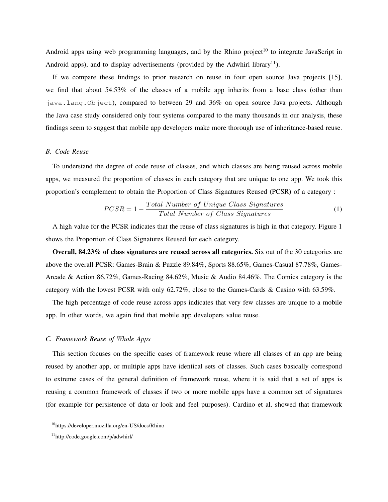Android apps using web programming languages, and by the Rhino project<sup>10</sup> to integrate JavaScript in Android apps), and to display advertisements (provided by the Adwhirl library<sup>11</sup>).

If we compare these findings to prior research on reuse in four open source Java projects [15], we find that about 54.53% of the classes of a mobile app inherits from a base class (other than java.lang.Object), compared to between 29 and 36% on open source Java projects. Although the Java case study considered only four systems compared to the many thousands in our analysis, these findings seem to suggest that mobile app developers make more thorough use of inheritance-based reuse.

# *B. Code Reuse*

To understand the degree of code reuse of classes, and which classes are being reused across mobile apps, we measured the proportion of classes in each category that are unique to one app. We took this proportion's complement to obtain the Proportion of Class Signatures Reused (PCSR) of a category :

$$
PCSR = 1 - \frac{Total\ Number\ of\ Unique\ Class\ Signatures}{Total\ Number\ of\ Class\ Signatures}
$$
\n(1)

A high value for the PCSR indicates that the reuse of class signatures is high in that category. Figure 1 shows the Proportion of Class Signatures Reused for each category.

Overall, 84.23% of class signatures are reused across all categories. Six out of the 30 categories are above the overall PCSR: Games-Brain & Puzzle 89.84%, Sports 88.65%, Games-Casual 87.78%, Games-Arcade & Action 86.72%, Games-Racing 84.62%, Music & Audio 84.46%. The Comics category is the category with the lowest PCSR with only 62.72%, close to the Games-Cards & Casino with 63.59%.

The high percentage of code reuse across apps indicates that very few classes are unique to a mobile app. In other words, we again find that mobile app developers value reuse.

## *C. Framework Reuse of Whole Apps*

This section focuses on the specific cases of framework reuse where all classes of an app are being reused by another app, or multiple apps have identical sets of classes. Such cases basically correspond to extreme cases of the general definition of framework reuse, where it is said that a set of apps is reusing a common framework of classes if two or more mobile apps have a common set of signatures (for example for persistence of data or look and feel purposes). Cardino et al. showed that framework

<sup>&</sup>lt;sup>10</sup>https://developer.mozilla.org/en-US/docs/Rhino

<sup>11</sup>http://code.google.com/p/adwhirl/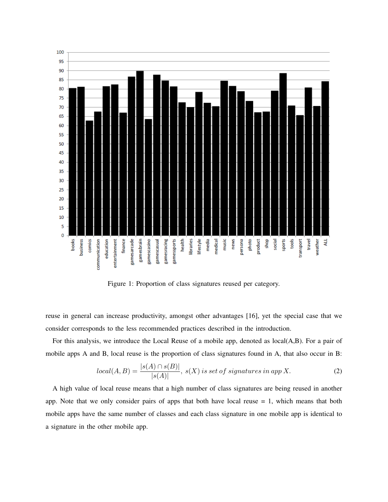

Figure 1: Proportion of class signatures reused per category.

reuse in general can increase productivity, amongst other advantages [16], yet the special case that we consider corresponds to the less recommended practices described in the introduction.

For this analysis, we introduce the Local Reuse of a mobile app, denoted as local(A,B). For a pair of mobile apps A and B, local reuse is the proportion of class signatures found in A, that also occur in B:

$$
local(A, B) = \frac{|s(A) \cap s(B)|}{|s(A)|}, \ s(X) \ is \ set \ of \ signatures \ in \ app \ X. \tag{2}
$$

A high value of local reuse means that a high number of class signatures are being reused in another app. Note that we only consider pairs of apps that both have local reuse  $= 1$ , which means that both mobile apps have the same number of classes and each class signature in one mobile app is identical to a signature in the other mobile app.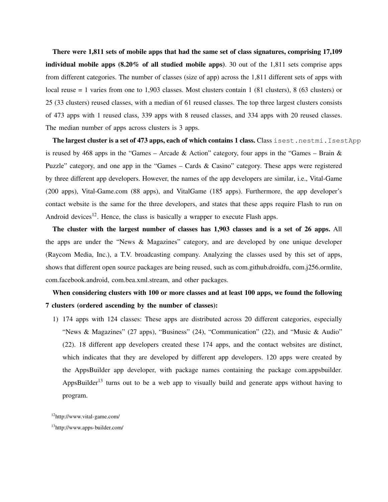There were 1,811 sets of mobile apps that had the same set of class signatures, comprising 17,109 individual mobile apps  $(8.20\% \text{ of all studied mobile apps})$ . 30 out of the 1,811 sets comprise apps from different categories. The number of classes (size of app) across the 1,811 different sets of apps with local reuse = 1 varies from one to 1,903 classes. Most clusters contain 1 (81 clusters), 8 (63 clusters) or 25 (33 clusters) reused classes, with a median of 61 reused classes. The top three largest clusters consists of 473 apps with 1 reused class, 339 apps with 8 reused classes, and 334 apps with 20 reused classes. The median number of apps across clusters is 3 apps.

The largest cluster is a set of 473 apps, each of which contains 1 class. Class isest.nestmi.IsestApp is reused by 468 apps in the "Games – Arcade & Action" category, four apps in the "Games – Brain  $\&$ Puzzle" category, and one app in the "Games – Cards & Casino" category. These apps were registered by three different app developers. However, the names of the app developers are similar, i.e., Vital-Game (200 apps), Vital-Game.com (88 apps), and VitalGame (185 apps). Furthermore, the app developer's contact website is the same for the three developers, and states that these apps require Flash to run on Android devices<sup>12</sup>. Hence, the class is basically a wrapper to execute Flash apps.

The cluster with the largest number of classes has 1,903 classes and is a set of 26 apps. All the apps are under the "News & Magazines" category, and are developed by one unique developer (Raycom Media, Inc.), a T.V. broadcasting company. Analyzing the classes used by this set of apps, shows that different open source packages are being reused, such as com.github.droidfu, com.j256.ormlite, com.facebook.android, com.bea.xml.stream, and other packages.

# When considering clusters with 100 or more classes and at least 100 apps, we found the following 7 clusters (ordered ascending by the number of classes):

1) 174 apps with 124 classes: These apps are distributed across 20 different categories, especially "News & Magazines" (27 apps), "Business" (24), "Communication" (22), and "Music & Audio" (22). 18 different app developers created these 174 apps, and the contact websites are distinct, which indicates that they are developed by different app developers. 120 apps were created by the AppsBuilder app developer, with package names containing the package com.appsbuilder. AppsBuilder<sup>13</sup> turns out to be a web app to visually build and generate apps without having to program.

<sup>12</sup>http://www.vital-game.com/

<sup>13</sup>http://www.apps-builder.com/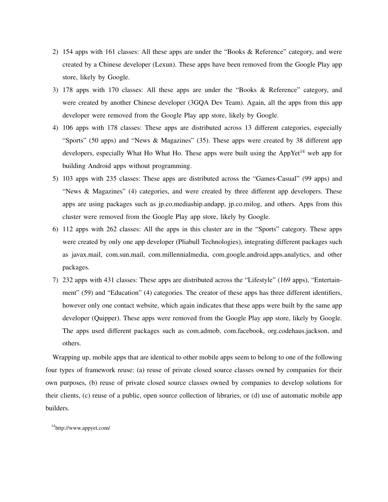- 2) 154 apps with 161 classes: All these apps are under the "Books & Reference" category, and were created by a Chinese developer (Lexun). These apps have been removed from the Google Play app store, likely by Google.
- 3) 178 apps with 170 classes: All these apps are under the "Books & Reference" category, and were created by another Chinese developer (3GQA Dev Team). Again, all the apps from this app developer were removed from the Google Play app store, likely by Google.
- 4) 106 apps with 178 classes: These apps are distributed across 13 different categories, especially "Sports" (50 apps) and "News & Magazines" (35). These apps were created by 38 different app developers, especially What Ho What Ho. These apps were built using the AppYet<sup>14</sup> web app for building Android apps without programming.
- 5) 103 apps with 235 classes: These apps are distributed across the "Games-Casual" (99 apps) and "News & Magazines" (4) categories, and were created by three different app developers. These apps are using packages such as jp.co.mediaship.andapp, jp.co.milog, and others. Apps from this cluster were removed from the Google Play app store, likely by Google.
- 6) 112 apps with 262 classes: All the apps in this cluster are in the "Sports" category. These apps were created by only one app developer (Pliabull Technologies), integrating different packages such as javax.mail, com.sun.mail, com.millennialmedia, com.google.android.apps.analytics, and other packages.
- 7) 232 apps with 431 classes: These apps are distributed across the "Lifestyle" (169 apps), "Entertainment" (59) and "Education" (4) categories. The creator of these apps has three different identifiers, however only one contact website, which again indicates that these apps were built by the same app developer (Quipper). These apps were removed from the Google Play app store, likely by Google. The apps used different packages such as com.admob, com.facebook, org.codehaus.jackson, and others.

Wrapping up, mobile apps that are identical to other mobile apps seem to belong to one of the following four types of framework reuse: (a) reuse of private closed source classes owned by companies for their own purposes, (b) reuse of private closed source classes owned by companies to develop solutions for their clients, (c) reuse of a public, open source collection of libraries, or (d) use of automatic mobile app builders.

<sup>14</sup>http://www.appyet.com/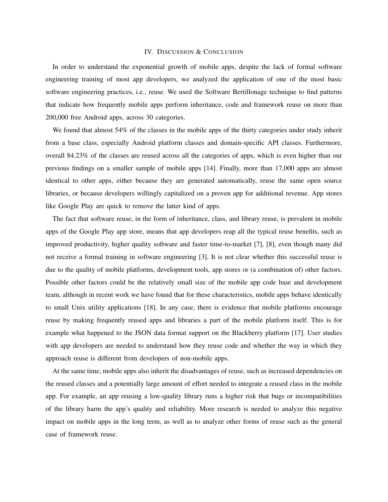# IV. DISCUSSION & CONCLUSION

In order to understand the exponential growth of mobile apps, despite the lack of formal software engineering training of most app developers, we analyzed the application of one of the most basic software engineering practices, i.e., reuse. We used the Software Bertillonage technique to find patterns that indicate how frequently mobile apps perform inheritance, code and framework reuse on more than 200,000 free Android apps, across 30 categories.

We found that almost 54% of the classes in the mobile apps of the thirty categories under study inherit from a base class, especially Android platform classes and domain-specific API classes. Furthermore, overall 84.23% of the classes are reused across all the categories of apps, which is even higher than our previous findings on a smaller sample of mobile apps [14]. Finally, more than 17,000 apps are almost identical to other apps, either because they are generated automatically, reuse the same open source libraries, or because developers willingly capitalized on a proven app for additional revenue. App stores like Google Play are quick to remove the latter kind of apps.

The fact that software reuse, in the form of inheritance, class, and library reuse, is prevalent in mobile apps of the Google Play app store, means that app developers reap all the typical reuse benefits, such as improved productivity, higher quality software and faster time-to-market [7], [8], even though many did not receive a formal training in software engineering [3]. It is not clear whether this successful reuse is due to the quality of mobile platforms, development tools, app stores or (a combination of) other factors. Possible other factors could be the relatively small size of the mobile app code base and development team, although in recent work we have found that for these characteristics, mobile apps behave identically to small Unix utility applications [18]. In any case, there is evidence that mobile platforms encourage reuse by making frequently reused apps and libraries a part of the mobile platform itself. This is for example what happened to the JSON data format support on the Blackberry platform [17]. User studies with app developers are needed to understand how they reuse code and whether the way in which they approach reuse is different from developers of non-mobile apps.

At the same time, mobile apps also inherit the disadvantages of reuse, such as increased dependencies on the reused classes and a potentially large amount of effort needed to integrate a reused class in the mobile app. For example, an app reusing a low-quality library runs a higher risk that bugs or incompatibilities of the library harm the app's quality and reliability. More research is needed to analyze this negative impact on mobile apps in the long term, as well as to analyze other forms of reuse such as the general case of framework reuse.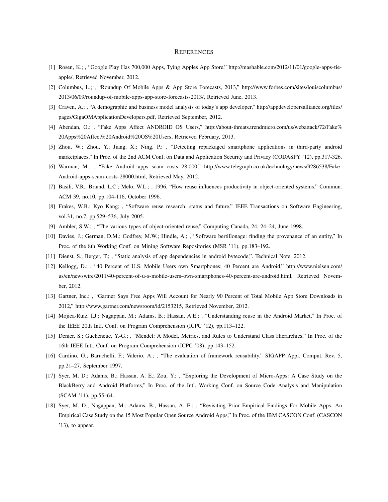### **REFERENCES**

- [1] Rosen, K.; , "Google Play Has 700,000 Apps, Tying Apples App Store," http://mashable.com/2012/11/01/google-apps-tieapple/, Retrieved November, 2012.
- [2] Columbus, L.; , "Roundup Of Mobile Apps & App Store Forecasts, 2013," http://www.forbes.com/sites/louiscolumbus/ 2013/06/09/roundup-of-mobile-apps-app-store-forecasts-2013/, Retrieved June, 2013.
- [3] Craven, A.; , "A demographic and business model analysis of today's app developer," http://appdevelopersalliance.org/files/ pages/GigaOMApplicationDevelopers.pdf, Retrieved September, 2012.
- [4] Abendan, O.; , "Fake Apps Affect ANDROID OS Users," http://about-threats.trendmicro.com/us/webattack/72/Fake% 20Apps%20Affect%20Android%20OS%20Users, Retrieved February, 2013.
- [5] Zhou, W.; Zhou, Y.; Jiang, X.; Ning, P.; , "Detecting repackaged smartphone applications in third-party android marketplaces," In Proc. of the 2nd ACM Conf. on Data and Application Security and Privacy (CODASPY '12), pp.317-326.
- [6] Warman, M.; , "Fake Android apps scam costs 28,000," http://www.telegraph.co.uk/technology/news/9286538/Fake-Android-apps-scam-costs-28000.html, Retrieved May, 2012.
- [7] Basili, V.R.; Briand, L.C.; Melo, W.L.; , 1996. "How reuse influences productivity in object-oriented systems," Commun. ACM 39, no.10, pp.104-116, October 1996.
- [8] Frakes, W.B.; Kyo Kang; , "Software reuse research: status and future," IEEE Transactions on Software Engineering, vol.31, no.7, pp.529–536, July 2005.
- [9] Ambler, S.W.; , "The various types of object-oriented reuse," Computing Canada, 24, 24–24, June 1998.
- [10] Davies, J.; German, D.M.; Godfrey, M.W.; Hindle, A.; , "Software bertillonage: finding the provenance of an entity," In Proc. of the 8th Working Conf. on Mining Software Repositories (MSR '11), pp.183–192.
- [11] Dienst, S.; Berger, T.; , "Static analysis of app dependencies in android bytecode,". Technical Note, 2012.
- [12] Kellogg, D.; , "40 Percent of U.S. Mobile Users own Smartphones; 40 Percent are Android," http://www.nielsen.com/ us/en/newswire/2011/40-percent-of-u-s-mobile-users-own-smartphones-40-percent-are-android.html, Retrieved November, 2012.
- [13] Gartner, Inc.; , "Gartner Says Free Apps Will Account for Nearly 90 Percent of Total Mobile App Store Downloads in 2012," http://www.gartner.com/newsroom/id/2153215, Retrieved November, 2012.
- [14] Mojica-Ruiz, I.J.; Nagappan, M.; Adams, B.; Hassan, A.E.; , "Understanding reuse in the Android Market," In Proc. of the IEEE 20th Intl. Conf. on Program Comprehension (ICPC '12), pp.113–122.
- [15] Denier, S.; Gueheneuc, Y.-G.; , "Mendel: A Model, Metrics, and Rules to Understand Class Hierarchies," In Proc. of the 16th IEEE Intl. Conf. on Program Comprehension (ICPC '08), pp.143–152.
- [16] Cardino, G.; Baruchelli, F.; Valerio, A.; , "The evaluation of framework reusability," SIGAPP Appl. Comput. Rev. 5, pp.21–27, September 1997.
- [17] Syer, M. D.; Adams, B.; Hassan, A. E.; Zou, Y.; , "Exploring the Development of Micro-Apps: A Case Study on the BlackBerry and Android Platforms," In Proc. of the Intl. Working Conf. on Source Code Analysis and Manipulation (SCAM '11), pp.55–64.
- [18] Syer, M. D.; Nagappan, M.; Adams, B.; Hassan, A. E.; , "Revisiting Prior Empirical Findings For Mobile Apps: An Empirical Case Study on the 15 Most Popular Open Source Android Apps," In Proc. of the IBM CASCON Conf. (CASCON '13), to appear.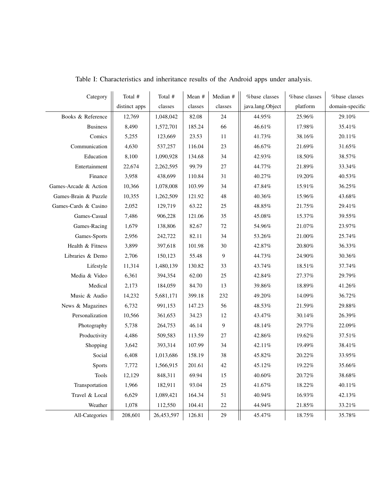| Category              | Total #       | Total #    | Mean #                   | Median #       | %base classes    | %base classes | %base classes   |
|-----------------------|---------------|------------|--------------------------|----------------|------------------|---------------|-----------------|
|                       | distinct apps | classes    | $\operatorname{classes}$ | classes        | java.lang.Object | platform      | domain-specific |
| Books & Reference     | 12,769        | 1,048,042  | 82.08                    | 24             | 44.95%           | 25.96%        | 29.10%          |
| <b>Business</b>       | 8,490         | 1,572,701  | 185.24                   | 66             | 46.61%           | 17.98%        | 35.41%          |
| Comics                | 5,255         | 123,669    | 23.53                    | 11             | 41.73%           | 38.16%        | $20.11\%$       |
| Communication         | 4,630         | 537,257    | 116.04                   | 23             | 46.67%           | 21.69%        | 31.65%          |
| Education             | 8,100         | 1,090,928  | 134.68                   | 34             | 42.93%           | 18.50%        | 38.57%          |
| Entertainment         | 22,674        | 2,262,595  | 99.79                    | $27\,$         | 44.77%           | $21.89\%$     | 33.34%          |
| Finance               | 3,958         | 438,699    | 110.84                   | 31             | 40.27%           | 19.20%        | 40.53%          |
| Games-Arcade & Action | 10,366        | 1,078,008  | 103.99                   | 34             | 47.84%           | 15.91%        | 36.25%          |
| Games-Brain & Puzzle  | 10,355        | 1,262,509  | 121.92                   | 48             | 40.36%           | 15.96%        | 43.68%          |
| Games-Cards & Casino  | 2,052         | 129,719    | 63.22                    | $25\,$         | 48.85%           | $21.75\%$     | 29.41%          |
| Games-Casual          | 7,486         | 906,228    | 121.06                   | 35             | $45.08\%$        | 15.37%        | 39.55%          |
| Games-Racing          | 1,679         | 138,806    | 82.67                    | 72             | 54.96%           | 21.07%        | $23.97\%$       |
| Games-Sports          | 2,956         | 242,722    | 82.11                    | 34             | 53.26%           | 21.00%        | 25.74%          |
| Health & Fitness      | 3,899         | 397,618    | 101.98                   | 30             | 42.87%           | $20.80\%$     | 36.33%          |
| Libraries & Demo      | 2,706         | 150,123    | 55.48                    | 9              | 44.73%           | 24.90%        | 30.36%          |
| Lifestyle             | 11,314        | 1,480,139  | 130.82                   | 33             | 43.74%           | $18.51\%$     | 37.74%          |
| Media & Video         | 6,361         | 394,354    | 62.00                    | $25\,$         | 42.84%           | $27.37\%$     | 29.79%          |
| Medical               | 2,173         | 184,059    | 84.70                    | 13             | 39.86%           | 18.89%        | 41.26%          |
| Music & Audio         | 14,232        | 5,681,171  | 399.18                   | 232            | 49.20%           | 14.09%        | 36.72%          |
| News & Magazines      | 6,732         | 991,153    | 147.23                   | 56             | $48.53\%$        | 21.59%        | 29.88%          |
| Personalization       | 10,566        | 361,653    | 34.23                    | 12             | 43.47%           | 30.14%        | 26.39%          |
| Photography           | 5,738         | 264,753    | 46.14                    | $\overline{9}$ | 48.14%           | 29.77%        | 22.09%          |
| Productivity          | 4,486         | 509,583    | 113.59                   | 27             | 42.86%           | 19.62%        | 37.51%          |
| Shopping              | 3,642         | 393,314    | 107.99                   | 34             | 42.11%           | 19.49%        | 38.41%          |
| Social                | 6,408         | 1,013,686  | 158.19                   | 38             | 45.82%           | 20.22%        | 33.95%          |
| <b>Sports</b>         | 7,772         | 1,566,915  | 201.61                   | 42             | 45.12%           | 19.22%        | 35.66%          |
| Tools                 | 12,129        | 848,311    | 69.94                    | 15             | 40.60%           | 20.72%        | 38.68%          |
| Transportation        | 1,966         | 182,911    | 93.04                    | 25             | 41.67%           | 18.22%        | 40.11%          |
| Travel & Local        | 6,629         | 1,089,421  | 164.34                   | 51             | 40.94%           | 16.93%        | 42.13%          |
| Weather               | 1,078         | 112,550    | 104.41                   | $22\,$         | 44.94%           | 21.85%        | 33.21%          |
| All-Categories        | 208,601       | 26,453,597 | 126.81                   | 29             | 45.47%           | 18.75%        | 35.78%          |

Table I: Characteristics and inheritance results of the Android apps under analysis.